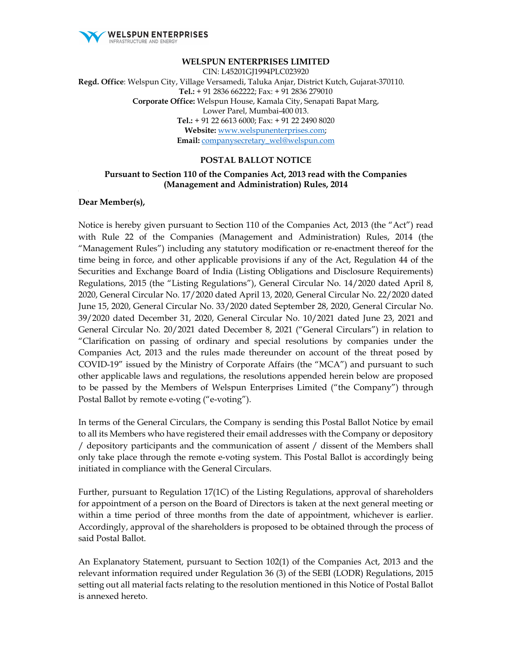

#### **WELSPUN ENTERPRISES LIMITED**

CIN: L45201GJ1994PLC023920 **Regd. Office**: Welspun City, Village Versamedi, Taluka Anjar, District Kutch, Gujarat-370110. **Tel.:** + 91 2836 662222; Fax: + 91 2836 279010 **Corporate Office:** Welspun House, Kamala City, Senapati Bapat Marg, Lower Parel, Mumbai-400 013. **Tel.:** + 91 22 6613 6000; Fax: + 91 22 2490 8020 **Website:** www.welspunenterprises.com; **Email:** companysecretary\_wel@welspun.com

#### **POSTAL BALLOT NOTICE**

#### **Pursuant to Section 110 of the Companies Act, 2013 read with the Companies (Management and Administration) Rules, 2014**

#### **Dear Member(s),**

Notice is hereby given pursuant to Section 110 of the Companies Act, 2013 (the "Act") read with Rule 22 of the Companies (Management and Administration) Rules, 2014 (the "Management Rules") including any statutory modification or re-enactment thereof for the time being in force, and other applicable provisions if any of the Act, Regulation 44 of the Securities and Exchange Board of India (Listing Obligations and Disclosure Requirements) Regulations, 2015 (the "Listing Regulations"), General Circular No. 14/2020 dated April 8, 2020, General Circular No. 17/2020 dated April 13, 2020, General Circular No. 22/2020 dated June 15, 2020, General Circular No. 33/2020 dated September 28, 2020, General Circular No. 39/2020 dated December 31, 2020, General Circular No. 10/2021 dated June 23, 2021 and General Circular No. 20/2021 dated December 8, 2021 ("General Circulars") in relation to "Clarification on passing of ordinary and special resolutions by companies under the Companies Act, 2013 and the rules made thereunder on account of the threat posed by COVID-19" issued by the Ministry of Corporate Affairs (the "MCA") and pursuant to such other applicable laws and regulations, the resolutions appended herein below are proposed to be passed by the Members of Welspun Enterprises Limited ("the Company") through Postal Ballot by remote e-voting ("e-voting").

In terms of the General Circulars, the Company is sending this Postal Ballot Notice by email to all its Members who have registered their email addresses with the Company or depository / depository participants and the communication of assent / dissent of the Members shall only take place through the remote e-voting system. This Postal Ballot is accordingly being initiated in compliance with the General Circulars.

Further, pursuant to Regulation 17(1C) of the Listing Regulations, approval of shareholders for appointment of a person on the Board of Directors is taken at the next general meeting or within a time period of three months from the date of appointment, whichever is earlier. Accordingly, approval of the shareholders is proposed to be obtained through the process of said Postal Ballot.

An Explanatory Statement, pursuant to Section 102(1) of the Companies Act, 2013 and the relevant information required under Regulation 36 (3) of the SEBI (LODR) Regulations, 2015 setting out all material facts relating to the resolution mentioned in this Notice of Postal Ballot is annexed hereto.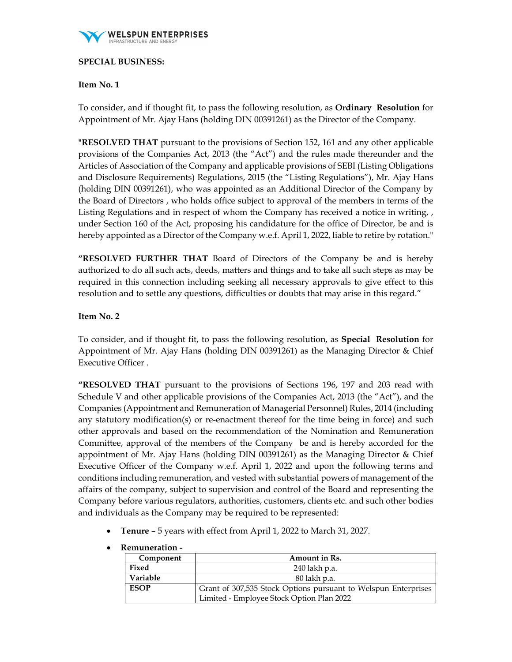

## **SPECIAL BUSINESS:**

# **Item No. 1**

To consider, and if thought fit, to pass the following resolution, as **Ordinary Resolution** for Appointment of Mr. Ajay Hans (holding DIN 00391261) as the Director of the Company.

**"RESOLVED THAT** pursuant to the provisions of Section 152, 161 and any other applicable provisions of the Companies Act, 2013 (the "Act") and the rules made thereunder and the Articles of Association of the Company and applicable provisions of SEBI (Listing Obligations and Disclosure Requirements) Regulations, 2015 (the "Listing Regulations"), Mr. Ajay Hans (holding DIN 00391261), who was appointed as an Additional Director of the Company by the Board of Directors , who holds office subject to approval of the members in terms of the Listing Regulations and in respect of whom the Company has received a notice in writing, , under Section 160 of the Act, proposing his candidature for the office of Director, be and is hereby appointed as a Director of the Company w.e.f. April 1, 2022, liable to retire by rotation."

**"RESOLVED FURTHER THAT** Board of Directors of the Company be and is hereby authorized to do all such acts, deeds, matters and things and to take all such steps as may be required in this connection including seeking all necessary approvals to give effect to this resolution and to settle any questions, difficulties or doubts that may arise in this regard."

## **Item No. 2**

To consider, and if thought fit, to pass the following resolution, as **Special Resolution** for Appointment of Mr. Ajay Hans (holding DIN 00391261) as the Managing Director & Chief Executive Officer .

**"RESOLVED THAT** pursuant to the provisions of Sections 196, 197 and 203 read with Schedule V and other applicable provisions of the Companies Act, 2013 (the "Act"), and the Companies (Appointment and Remuneration of Managerial Personnel) Rules, 2014 (including any statutory modification(s) or re-enactment thereof for the time being in force) and such other approvals and based on the recommendation of the Nomination and Remuneration Committee, approval of the members of the Company be and is hereby accorded for the appointment of Mr. Ajay Hans (holding DIN 00391261) as the Managing Director & Chief Executive Officer of the Company w.e.f. April 1, 2022 and upon the following terms and conditions including remuneration, and vested with substantial powers of management of the affairs of the company, subject to supervision and control of the Board and representing the Company before various regulators, authorities, customers, clients etc. and such other bodies and individuals as the Company may be required to be represented:

**Tenure** – 5 years with effect from April 1, 2022 to March 31, 2027.

| wanancianon |                                                                |
|-------------|----------------------------------------------------------------|
| Component   | Amount in Rs.                                                  |
| Fixed       | 240 lakh p.a.                                                  |
| Variable    | 80 lakh p.a.                                                   |
| <b>ESOP</b> | Grant of 307,535 Stock Options pursuant to Welspun Enterprises |
|             | Limited - Employee Stock Option Plan 2022                      |

**Remuneration -**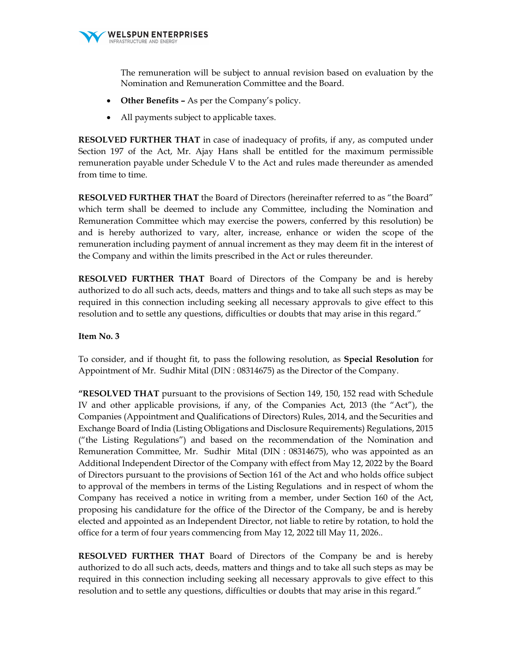

The remuneration will be subject to annual revision based on evaluation by the Nomination and Remuneration Committee and the Board.

- **Other Benefits** As per the Company's policy.
- All payments subject to applicable taxes.

**RESOLVED FURTHER THAT** in case of inadequacy of profits, if any, as computed under Section 197 of the Act, Mr. Ajay Hans shall be entitled for the maximum permissible remuneration payable under Schedule V to the Act and rules made thereunder as amended from time to time.

**RESOLVED FURTHER THAT** the Board of Directors (hereinafter referred to as "the Board" which term shall be deemed to include any Committee, including the Nomination and Remuneration Committee which may exercise the powers, conferred by this resolution) be and is hereby authorized to vary, alter, increase, enhance or widen the scope of the remuneration including payment of annual increment as they may deem fit in the interest of the Company and within the limits prescribed in the Act or rules thereunder.

**RESOLVED FURTHER THAT** Board of Directors of the Company be and is hereby authorized to do all such acts, deeds, matters and things and to take all such steps as may be required in this connection including seeking all necessary approvals to give effect to this resolution and to settle any questions, difficulties or doubts that may arise in this regard."

## **Item No. 3**

To consider, and if thought fit, to pass the following resolution, as **Special Resolution** for Appointment of Mr. Sudhir Mital (DIN : 08314675) as the Director of the Company.

**"RESOLVED THAT** pursuant to the provisions of Section 149, 150, 152 read with Schedule IV and other applicable provisions, if any, of the Companies Act, 2013 (the "Act"), the Companies (Appointment and Qualifications of Directors) Rules, 2014, and the Securities and Exchange Board of India (Listing Obligations and Disclosure Requirements) Regulations, 2015 ("the Listing Regulations") and based on the recommendation of the Nomination and Remuneration Committee, Mr. Sudhir Mital (DIN : 08314675), who was appointed as an Additional Independent Director of the Company with effect from May 12, 2022 by the Board of Directors pursuant to the provisions of Section 161 of the Act and who holds office subject to approval of the members in terms of the Listing Regulations and in respect of whom the Company has received a notice in writing from a member, under Section 160 of the Act, proposing his candidature for the office of the Director of the Company, be and is hereby elected and appointed as an Independent Director, not liable to retire by rotation, to hold the office for a term of four years commencing from May 12, 2022 till May 11, 2026..

**RESOLVED FURTHER THAT** Board of Directors of the Company be and is hereby authorized to do all such acts, deeds, matters and things and to take all such steps as may be required in this connection including seeking all necessary approvals to give effect to this resolution and to settle any questions, difficulties or doubts that may arise in this regard."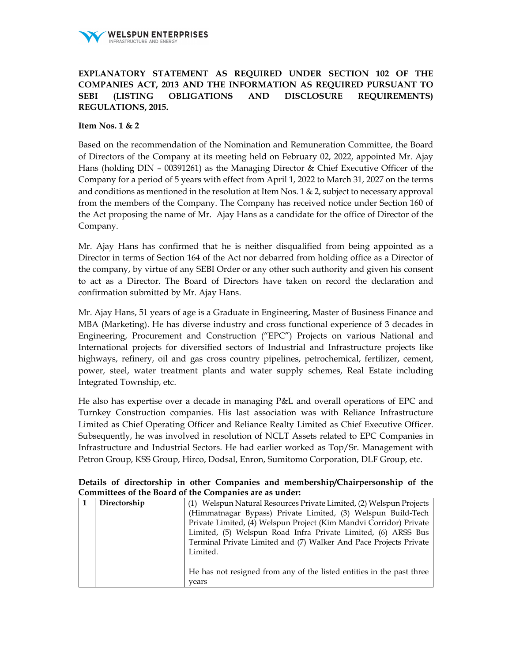

# **EXPLANATORY STATEMENT AS REQUIRED UNDER SECTION 102 OF THE COMPANIES ACT, 2013 AND THE INFORMATION AS REQUIRED PURSUANT TO SEBI (LISTING OBLIGATIONS AND DISCLOSURE REQUIREMENTS) REGULATIONS, 2015.**

#### **Item Nos. 1 & 2**

Based on the recommendation of the Nomination and Remuneration Committee, the Board of Directors of the Company at its meeting held on February 02, 2022, appointed Mr. Ajay Hans (holding DIN – 00391261) as the Managing Director & Chief Executive Officer of the Company for a period of 5 years with effect from April 1, 2022 to March 31, 2027 on the terms and conditions as mentioned in the resolution at Item Nos. 1  $\&$  2, subject to necessary approval from the members of the Company. The Company has received notice under Section 160 of the Act proposing the name of Mr. Ajay Hans as a candidate for the office of Director of the Company.

Mr. Ajay Hans has confirmed that he is neither disqualified from being appointed as a Director in terms of Section 164 of the Act nor debarred from holding office as a Director of the company, by virtue of any SEBI Order or any other such authority and given his consent to act as a Director. The Board of Directors have taken on record the declaration and confirmation submitted by Mr. Ajay Hans.

Mr. Ajay Hans, 51 years of age is a Graduate in Engineering, Master of Business Finance and MBA (Marketing). He has diverse industry and cross functional experience of 3 decades in Engineering, Procurement and Construction ("EPC") Projects on various National and International projects for diversified sectors of Industrial and Infrastructure projects like highways, refinery, oil and gas cross country pipelines, petrochemical, fertilizer, cement, power, steel, water treatment plants and water supply schemes, Real Estate including Integrated Township, etc.

He also has expertise over a decade in managing P&L and overall operations of EPC and Turnkey Construction companies. His last association was with Reliance Infrastructure Limited as Chief Operating Officer and Reliance Realty Limited as Chief Executive Officer. Subsequently, he was involved in resolution of NCLT Assets related to EPC Companies in Infrastructure and Industrial Sectors. He had earlier worked as Top/Sr. Management with Petron Group, KSS Group, Hirco, Dodsal, Enron, Sumitomo Corporation, DLF Group, etc.

|  |                                                        |  |  | Details of directorship in other Companies and membership/Chairpersonship of the |  |
|--|--------------------------------------------------------|--|--|----------------------------------------------------------------------------------|--|
|  | Committees of the Board of the Companies are as under: |  |  |                                                                                  |  |

| Directorship | (1) Welspun Natural Resources Private Limited, (2) Welspun Projects   |  |  |  |  |
|--------------|-----------------------------------------------------------------------|--|--|--|--|
|              | (Himmatnagar Bypass) Private Limited, (3) Welspun Build-Tech          |  |  |  |  |
|              | Private Limited, (4) Welspun Project (Kim Mandvi Corridor) Private    |  |  |  |  |
|              | Limited, (5) Welspun Road Infra Private Limited, (6) ARSS Bus         |  |  |  |  |
|              | Terminal Private Limited and (7) Walker And Pace Projects Private     |  |  |  |  |
|              | Limited.                                                              |  |  |  |  |
|              |                                                                       |  |  |  |  |
|              | He has not resigned from any of the listed entities in the past three |  |  |  |  |
|              | vears                                                                 |  |  |  |  |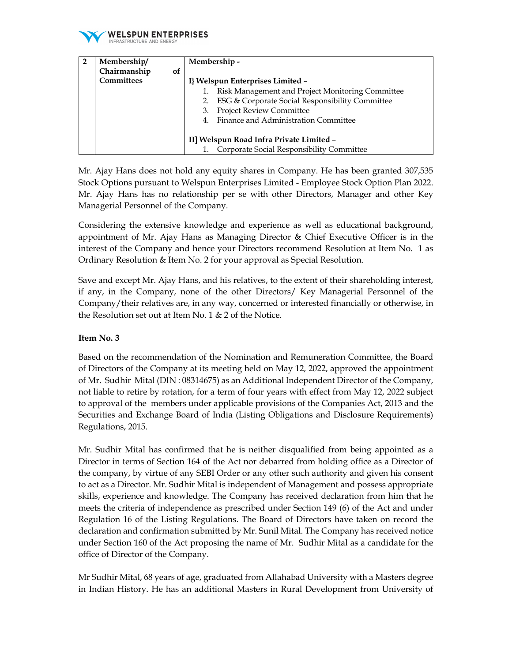

| Membership/               | Membership -                                           |  |  |  |  |
|---------------------------|--------------------------------------------------------|--|--|--|--|
| Chairmanship<br><b>of</b> |                                                        |  |  |  |  |
| <b>Committees</b>         | I} Welspun Enterprises Limited -                       |  |  |  |  |
|                           | Risk Management and Project Monitoring Committee<br>1. |  |  |  |  |
|                           | ESG & Corporate Social Responsibility Committee        |  |  |  |  |
|                           | <b>Project Review Committee</b>                        |  |  |  |  |
|                           | Finance and Administration Committee<br>$4_{\cdot}$    |  |  |  |  |
|                           |                                                        |  |  |  |  |
|                           | II] Welspun Road Infra Private Limited -               |  |  |  |  |
|                           | Corporate Social Responsibility Committee              |  |  |  |  |

Mr. Ajay Hans does not hold any equity shares in Company. He has been granted 307,535 Stock Options pursuant to Welspun Enterprises Limited - Employee Stock Option Plan 2022. Mr. Ajay Hans has no relationship per se with other Directors, Manager and other Key Managerial Personnel of the Company.

Considering the extensive knowledge and experience as well as educational background, appointment of Mr. Ajay Hans as Managing Director & Chief Executive Officer is in the interest of the Company and hence your Directors recommend Resolution at Item No. 1 as Ordinary Resolution & Item No. 2 for your approval as Special Resolution.

Save and except Mr. Ajay Hans, and his relatives, to the extent of their shareholding interest, if any, in the Company, none of the other Directors/ Key Managerial Personnel of the Company/their relatives are, in any way, concerned or interested financially or otherwise, in the Resolution set out at Item No. 1 & 2 of the Notice.

# **Item No. 3**

Based on the recommendation of the Nomination and Remuneration Committee, the Board of Directors of the Company at its meeting held on May 12, 2022, approved the appointment of Mr. Sudhir Mital (DIN : 08314675) as an Additional Independent Director of the Company, not liable to retire by rotation, for a term of four years with effect from May 12, 2022 subject to approval of the members under applicable provisions of the Companies Act, 2013 and the Securities and Exchange Board of India (Listing Obligations and Disclosure Requirements) Regulations, 2015.

Mr. Sudhir Mital has confirmed that he is neither disqualified from being appointed as a Director in terms of Section 164 of the Act nor debarred from holding office as a Director of the company, by virtue of any SEBI Order or any other such authority and given his consent to act as a Director. Mr. Sudhir Mital is independent of Management and possess appropriate skills, experience and knowledge. The Company has received declaration from him that he meets the criteria of independence as prescribed under Section 149 (6) of the Act and under Regulation 16 of the Listing Regulations. The Board of Directors have taken on record the declaration and confirmation submitted by Mr. Sunil Mital. The Company has received notice under Section 160 of the Act proposing the name of Mr. Sudhir Mital as a candidate for the office of Director of the Company.

Mr Sudhir Mital, 68 years of age, graduated from Allahabad University with a Masters degree in Indian History. He has an additional Masters in Rural Development from University of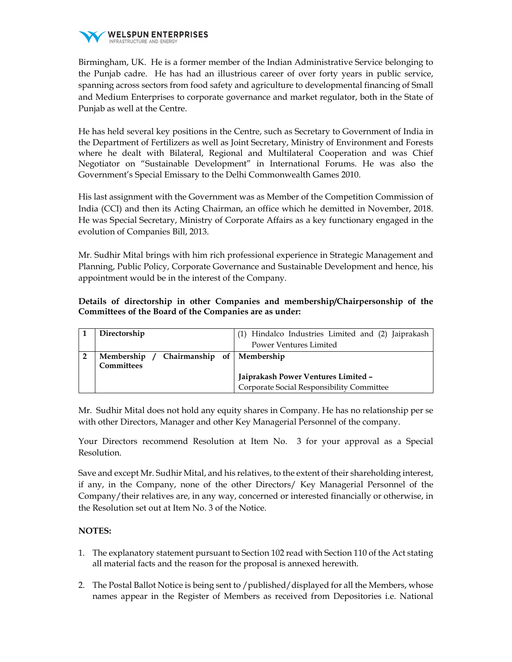

Birmingham, UK. He is a former member of the Indian Administrative Service belonging to the Punjab cadre. He has had an illustrious career of over forty years in public service, spanning across sectors from food safety and agriculture to developmental financing of Small and Medium Enterprises to corporate governance and market regulator, both in the State of Punjab as well at the Centre.

He has held several key positions in the Centre, such as Secretary to Government of India in the Department of Fertilizers as well as Joint Secretary, Ministry of Environment and Forests where he dealt with Bilateral, Regional and Multilateral Cooperation and was Chief Negotiator on "Sustainable Development" in International Forums. He was also the Government's Special Emissary to the Delhi Commonwealth Games 2010.

His last assignment with the Government was as Member of the Competition Commission of India (CCI) and then its Acting Chairman, an office which he demitted in November, 2018. He was Special Secretary, Ministry of Corporate Affairs as a key functionary engaged in the evolution of Companies Bill, 2013.

Mr. Sudhir Mital brings with him rich professional experience in Strategic Management and Planning, Public Policy, Corporate Governance and Sustainable Development and hence, his appointment would be in the interest of the Company.

# **Details of directorship in other Companies and membership/Chairpersonship of the Committees of the Board of the Companies are as under:**

| Directorship                                            | Hindalco Industries Limited and (2) Jaiprakash<br>(1)                            |
|---------------------------------------------------------|----------------------------------------------------------------------------------|
|                                                         | <b>Power Ventures Limited</b>                                                    |
| Membership / Chairmanship of   Membership<br>Committees |                                                                                  |
|                                                         | Jaiprakash Power Ventures Limited -<br>Corporate Social Responsibility Committee |
|                                                         |                                                                                  |

Mr. Sudhir Mital does not hold any equity shares in Company. He has no relationship per se with other Directors, Manager and other Key Managerial Personnel of the company.

Your Directors recommend Resolution at Item No. 3 for your approval as a Special Resolution.

Save and except Mr. Sudhir Mital, and his relatives, to the extent of their shareholding interest, if any, in the Company, none of the other Directors/ Key Managerial Personnel of the Company/their relatives are, in any way, concerned or interested financially or otherwise, in the Resolution set out at Item No. 3 of the Notice.

## **NOTES:**

- 1. The explanatory statement pursuant to Section 102 read with Section 110 of the Act stating all material facts and the reason for the proposal is annexed herewith.
- 2. The Postal Ballot Notice is being sent to /published/displayed for all the Members, whose names appear in the Register of Members as received from Depositories i.e. National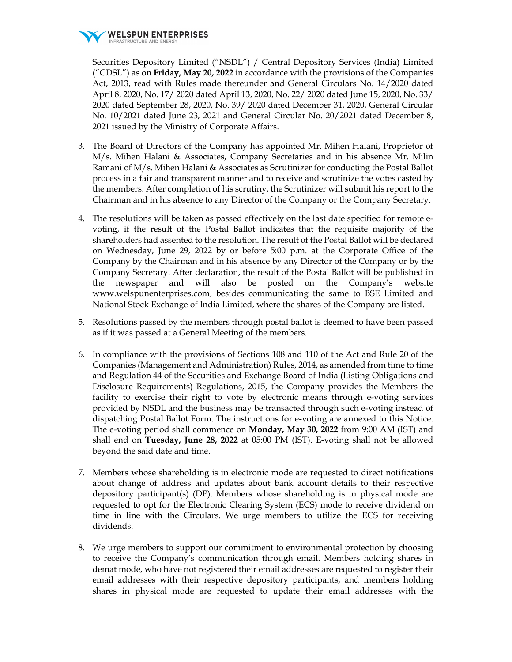

Securities Depository Limited ("NSDL") / Central Depository Services (India) Limited ("CDSL") as on **Friday, May 20, 2022** in accordance with the provisions of the Companies Act, 2013, read with Rules made thereunder and General Circulars No. 14/2020 dated April 8, 2020, No. 17/ 2020 dated April 13, 2020, No. 22/ 2020 dated June 15, 2020, No. 33/ 2020 dated September 28, 2020, No. 39/ 2020 dated December 31, 2020, General Circular No. 10/2021 dated June 23, 2021 and General Circular No. 20/2021 dated December 8, 2021 issued by the Ministry of Corporate Affairs.

- 3. The Board of Directors of the Company has appointed Mr. Mihen Halani, Proprietor of M/s. Mihen Halani & Associates, Company Secretaries and in his absence Mr. Milin Ramani of M/s. Mihen Halani & Associates as Scrutinizer for conducting the Postal Ballot process in a fair and transparent manner and to receive and scrutinize the votes casted by the members. After completion of his scrutiny, the Scrutinizer will submit his report to the Chairman and in his absence to any Director of the Company or the Company Secretary.
- 4. The resolutions will be taken as passed effectively on the last date specified for remote evoting, if the result of the Postal Ballot indicates that the requisite majority of the shareholders had assented to the resolution. The result of the Postal Ballot will be declared on Wednesday, June 29, 2022 by or before 5:00 p.m. at the Corporate Office of the Company by the Chairman and in his absence by any Director of the Company or by the Company Secretary. After declaration, the result of the Postal Ballot will be published in the newspaper and will also be posted on the Company's website www.welspunenterprises.com, besides communicating the same to BSE Limited and National Stock Exchange of India Limited, where the shares of the Company are listed.
- 5. Resolutions passed by the members through postal ballot is deemed to have been passed as if it was passed at a General Meeting of the members.
- 6. In compliance with the provisions of Sections 108 and 110 of the Act and Rule 20 of the Companies (Management and Administration) Rules, 2014, as amended from time to time and Regulation 44 of the Securities and Exchange Board of India (Listing Obligations and Disclosure Requirements) Regulations, 2015, the Company provides the Members the facility to exercise their right to vote by electronic means through e-voting services provided by NSDL and the business may be transacted through such e-voting instead of dispatching Postal Ballot Form. The instructions for e-voting are annexed to this Notice. The e-voting period shall commence on **Monday, May 30, 2022** from 9:00 AM (IST) and shall end on **Tuesday, June 28, 2022** at 05:00 PM (IST). E-voting shall not be allowed beyond the said date and time.
- 7. Members whose shareholding is in electronic mode are requested to direct notifications about change of address and updates about bank account details to their respective depository participant(s) (DP). Members whose shareholding is in physical mode are requested to opt for the Electronic Clearing System (ECS) mode to receive dividend on time in line with the Circulars. We urge members to utilize the ECS for receiving dividends.
- 8. We urge members to support our commitment to environmental protection by choosing to receive the Company's communication through email. Members holding shares in demat mode, who have not registered their email addresses are requested to register their email addresses with their respective depository participants, and members holding shares in physical mode are requested to update their email addresses with the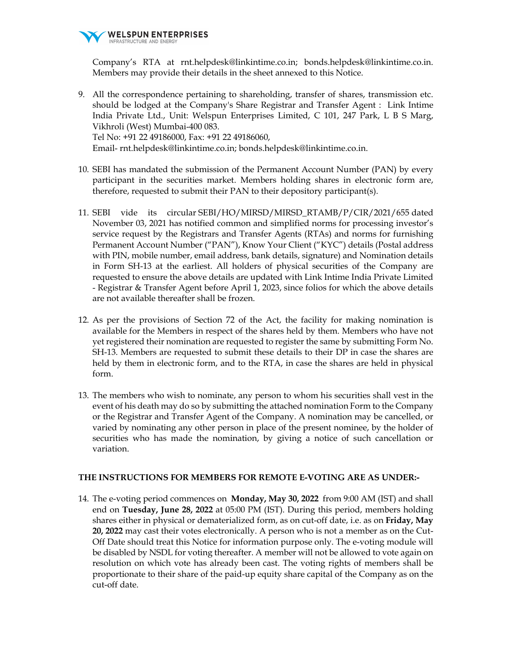

Company's RTA at rnt.helpdesk@linkintime.co.in; bonds.helpdesk@linkintime.co.in. Members may provide their details in the sheet annexed to this Notice.

9. All the correspondence pertaining to shareholding, transfer of shares, transmission etc. should be lodged at the Company's Share Registrar and Transfer Agent : Link Intime India Private Ltd., Unit: Welspun Enterprises Limited, C 101, 247 Park, L B S Marg, Vikhroli (West) Mumbai-400 083. Tel No: +91 22 49186000, Fax: +91 22 49186060, Email- rnt.helpdesk@linkintime.co.in; bonds.helpdesk@linkintime.co.in.

- 10. SEBI has mandated the submission of the Permanent Account Number (PAN) by every participant in the securities market. Members holding shares in electronic form are, therefore, requested to submit their PAN to their depository participant(s).
- 11. SEBI vide its circular SEBI/HO/MIRSD/MIRSD\_RTAMB/P/CIR/2021/655 dated November 03, 2021 has notified common and simplified norms for processing investor's service request by the Registrars and Transfer Agents (RTAs) and norms for furnishing Permanent Account Number ("PAN"), Know Your Client ("KYC") details (Postal address with PIN, mobile number, email address, bank details, signature) and Nomination details in Form SH-13 at the earliest. All holders of physical securities of the Company are requested to ensure the above details are updated with Link Intime India Private Limited - Registrar & Transfer Agent before April 1, 2023, since folios for which the above details are not available thereafter shall be frozen.
- 12. As per the provisions of Section 72 of the Act, the facility for making nomination is available for the Members in respect of the shares held by them. Members who have not yet registered their nomination are requested to register the same by submitting Form No. SH-13. Members are requested to submit these details to their DP in case the shares are held by them in electronic form, and to the RTA, in case the shares are held in physical form.
- 13. The members who wish to nominate, any person to whom his securities shall vest in the event of his death may do so by submitting the attached nomination Form to the Company or the Registrar and Transfer Agent of the Company. A nomination may be cancelled, or varied by nominating any other person in place of the present nominee, by the holder of securities who has made the nomination, by giving a notice of such cancellation or variation.

## **THE INSTRUCTIONS FOR MEMBERS FOR REMOTE E-VOTING ARE AS UNDER:-**

14. The e-voting period commences on **Monday, May 30, 2022** from 9:00 AM (IST) and shall end on **Tuesday, June 28, 2022** at 05:00 PM (IST). During this period, members holding shares either in physical or dematerialized form, as on cut-off date, i.e. as on **Friday, May 20, 2022** may cast their votes electronically. A person who is not a member as on the Cut-Off Date should treat this Notice for information purpose only. The e-voting module will be disabled by NSDL for voting thereafter. A member will not be allowed to vote again on resolution on which vote has already been cast. The voting rights of members shall be proportionate to their share of the paid-up equity share capital of the Company as on the cut-off date.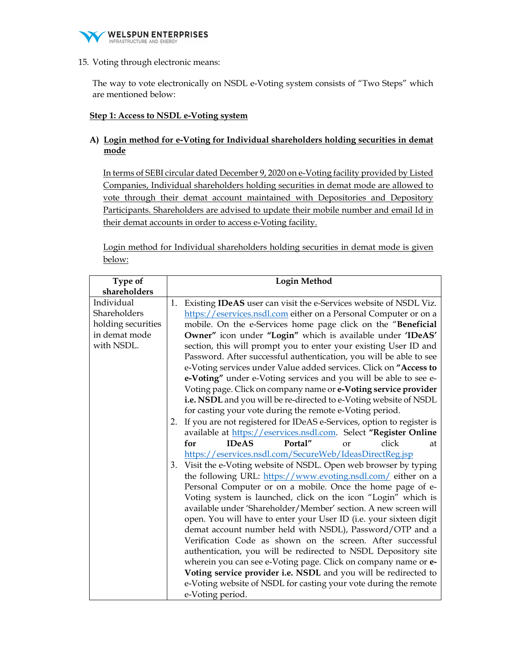

15. Voting through electronic means:

The way to vote electronically on NSDL e-Voting system consists of "Two Steps" which are mentioned below:

## **Step 1: Access to NSDL e-Voting system**

**A) Login method for e-Voting for Individual shareholders holding securities in demat mode** 

In terms of SEBI circular dated December 9, 2020 on e-Voting facility provided by Listed Companies, Individual shareholders holding securities in demat mode are allowed to vote through their demat account maintained with Depositories and Depository Participants. Shareholders are advised to update their mobile number and email Id in their demat accounts in order to access e-Voting facility.

Login method for Individual shareholders holding securities in demat mode is given below:

| Type of<br>shareholders |                                                                                                                                                 |              | <b>Login Method</b>                                      |            |                                                                          |    |
|-------------------------|-------------------------------------------------------------------------------------------------------------------------------------------------|--------------|----------------------------------------------------------|------------|--------------------------------------------------------------------------|----|
| Individual              |                                                                                                                                                 |              |                                                          |            |                                                                          |    |
| Shareholders            | 1. Existing <b>IDeAS</b> user can visit the e-Services website of NSDL Viz.<br>https://eservices.nsdl.com either on a Personal Computer or on a |              |                                                          |            |                                                                          |    |
| holding securities      |                                                                                                                                                 |              |                                                          |            | mobile. On the e-Services home page click on the "Beneficial             |    |
| in demat mode           |                                                                                                                                                 |              |                                                          |            | Owner" icon under "Login" which is available under 'IDeAS'               |    |
| with NSDL.              |                                                                                                                                                 |              |                                                          |            | section, this will prompt you to enter your existing User ID and         |    |
|                         |                                                                                                                                                 |              |                                                          |            | Password. After successful authentication, you will be able to see       |    |
|                         |                                                                                                                                                 |              |                                                          |            | e-Voting services under Value added services. Click on "Access to        |    |
|                         |                                                                                                                                                 |              |                                                          |            | e-Voting" under e-Voting services and you will be able to see e-         |    |
|                         |                                                                                                                                                 |              |                                                          |            | Voting page. Click on company name or e-Voting service provider          |    |
|                         |                                                                                                                                                 |              |                                                          |            | i.e. NSDL and you will be re-directed to e-Voting website of NSDL        |    |
|                         |                                                                                                                                                 |              | for casting your vote during the remote e-Voting period. |            |                                                                          |    |
|                         |                                                                                                                                                 |              |                                                          |            | 2. If you are not registered for IDeAS e-Services, option to register is |    |
|                         |                                                                                                                                                 |              |                                                          |            | available at https://eservices.nsdl.com. Select "Register Online         |    |
|                         | for                                                                                                                                             | <b>IDeAS</b> | Portal"                                                  | $\alpha$ r | click                                                                    | at |
|                         |                                                                                                                                                 |              | https://eservices.nsdl.com/SecureWeb/IdeasDirectReg.jsp  |            |                                                                          |    |
|                         |                                                                                                                                                 |              |                                                          |            | 3. Visit the e-Voting website of NSDL. Open web browser by typing        |    |
|                         |                                                                                                                                                 |              |                                                          |            | the following URL: https://www.evoting.nsdl.com/ either on a             |    |
|                         |                                                                                                                                                 |              |                                                          |            | Personal Computer or on a mobile. Once the home page of e-               |    |
|                         |                                                                                                                                                 |              |                                                          |            | Voting system is launched, click on the icon "Login" which is            |    |
|                         |                                                                                                                                                 |              |                                                          |            | available under 'Shareholder/Member' section. A new screen will          |    |
|                         |                                                                                                                                                 |              |                                                          |            | open. You will have to enter your User ID (i.e. your sixteen digit       |    |
|                         |                                                                                                                                                 |              |                                                          |            | demat account number held with NSDL), Password/OTP and a                 |    |
|                         |                                                                                                                                                 |              |                                                          |            | Verification Code as shown on the screen. After successful               |    |
|                         |                                                                                                                                                 |              |                                                          |            | authentication, you will be redirected to NSDL Depository site           |    |
|                         |                                                                                                                                                 |              |                                                          |            | wherein you can see e-Voting page. Click on company name or e-           |    |
|                         |                                                                                                                                                 |              |                                                          |            | Voting service provider i.e. NSDL and you will be redirected to          |    |
|                         |                                                                                                                                                 |              |                                                          |            | e-Voting website of NSDL for casting your vote during the remote         |    |
|                         | e-Voting period.                                                                                                                                |              |                                                          |            |                                                                          |    |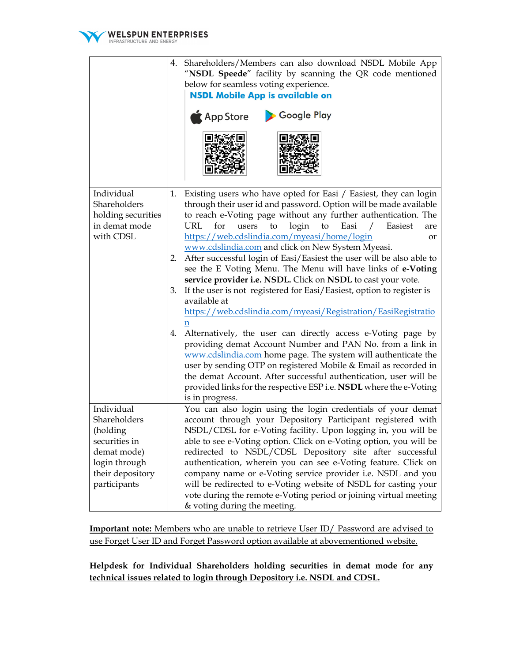

|                                                                                                                             | 4. | Shareholders/Members can also download NSDL Mobile App<br>"NSDL Speede" facility by scanning the QR code mentioned<br>below for seamless voting experience.<br><b>NSDL Mobile App is available on</b><br>Google Play<br>App Store                                                                                                                                                                                                                                                                                                                                                                                                       |  |  |  |  |
|-----------------------------------------------------------------------------------------------------------------------------|----|-----------------------------------------------------------------------------------------------------------------------------------------------------------------------------------------------------------------------------------------------------------------------------------------------------------------------------------------------------------------------------------------------------------------------------------------------------------------------------------------------------------------------------------------------------------------------------------------------------------------------------------------|--|--|--|--|
| Individual<br>Shareholders<br>holding securities<br>in demat mode<br>with CDSL                                              | 1. | Existing users who have opted for Easi / Easiest, they can login<br>through their user id and password. Option will be made available<br>to reach e-Voting page without any further authentication. The<br>URL<br>for<br>users<br>to<br>login<br>to<br>Easi<br>Easiest<br>$\sqrt{2}$<br>are<br>https://web.cdslindia.com/myeasi/home/login<br>or                                                                                                                                                                                                                                                                                        |  |  |  |  |
|                                                                                                                             |    | www.cdslindia.com and click on New System Myeasi.<br>2. After successful login of Easi/Easiest the user will be also able to<br>see the E Voting Menu. The Menu will have links of e-Voting<br>service provider i.e. NSDL. Click on NSDL to cast your vote.                                                                                                                                                                                                                                                                                                                                                                             |  |  |  |  |
|                                                                                                                             | 3. | If the user is not registered for Easi/Easiest, option to register is<br>available at<br>https://web.cdslindia.com/myeasi/Registration/EasiRegistratio                                                                                                                                                                                                                                                                                                                                                                                                                                                                                  |  |  |  |  |
|                                                                                                                             | 4. | Alternatively, the user can directly access e-Voting page by<br>providing demat Account Number and PAN No. from a link in<br>www.cdslindia.com home page. The system will authenticate the<br>user by sending OTP on registered Mobile & Email as recorded in<br>the demat Account. After successful authentication, user will be<br>provided links for the respective ESP i.e. NSDL where the e-Voting<br>is in progress.                                                                                                                                                                                                              |  |  |  |  |
| Individual<br>Shareholders<br>(holding<br>securities in<br>demat mode)<br>login through<br>their depository<br>participants |    | You can also login using the login credentials of your demat<br>account through your Depository Participant registered with<br>NSDL/CDSL for e-Voting facility. Upon logging in, you will be<br>able to see e-Voting option. Click on e-Voting option, you will be<br>redirected to NSDL/CDSL Depository site after successful<br>authentication, wherein you can see e-Voting feature. Click on<br>company name or e-Voting service provider i.e. NSDL and you<br>will be redirected to e-Voting website of NSDL for casting your<br>vote during the remote e-Voting period or joining virtual meeting<br>& voting during the meeting. |  |  |  |  |

**Important note:** Members who are unable to retrieve User ID/ Password are advised to use Forget User ID and Forget Password option available at abovementioned website.

**Helpdesk for Individual Shareholders holding securities in demat mode for any technical issues related to login through Depository i.e. NSDL and CDSL.**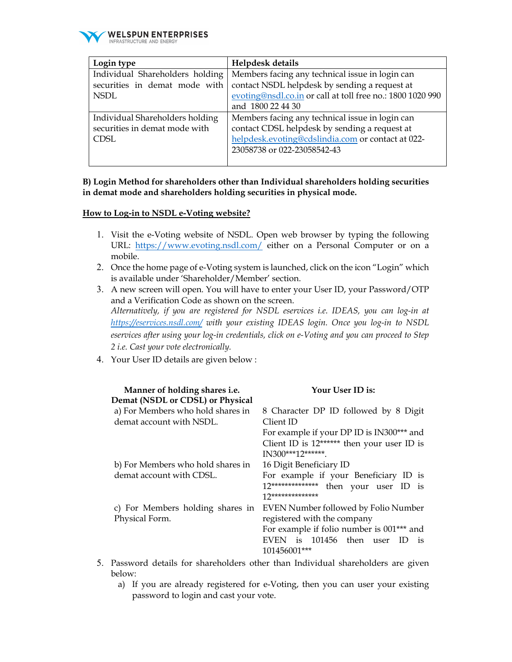

| Login type                      | Helpdesk details                                           |
|---------------------------------|------------------------------------------------------------|
| Individual Shareholders holding | Members facing any technical issue in login can            |
| securities in demat mode with   | contact NSDL helpdesk by sending a request at              |
| <b>NSDL</b>                     | evoting@nsdl.co.in or call at toll free no.: 1800 1020 990 |
|                                 | and 1800 22 44 30                                          |
| Individual Shareholders holding | Members facing any technical issue in login can            |
| securities in demat mode with   | contact CDSL helpdesk by sending a request at              |
| <b>CDSL</b>                     | helpdesk.evoting@cdslindia.com or contact at 022-          |
|                                 | 23058738 or 022-23058542-43                                |
|                                 |                                                            |

## **B) Login Method for shareholders other than Individual shareholders holding securities in demat mode and shareholders holding securities in physical mode.**

#### **How to Log-in to NSDL e-Voting website?**

- 1. Visit the e-Voting website of NSDL. Open web browser by typing the following URL: https://www.evoting.nsdl.com/ either on a Personal Computer or on a mobile.
- 2. Once the home page of e-Voting system is launched, click on the icon "Login" which is available under 'Shareholder/Member' section.
- 3. A new screen will open. You will have to enter your User ID, your Password/OTP and a Verification Code as shown on the screen. *Alternatively, if you are registered for NSDL eservices i.e. IDEAS, you can log-in at https://eservices.nsdl.com/ with your existing IDEAS login. Once you log-in to NSDL eservices after using your log-in credentials, click on e-Voting and you can proceed to Step 2 i.e. Cast your vote electronically.*
- 4. Your User ID details are given below :

| Manner of holding shares i.e.     | Your User ID is:                                      |
|-----------------------------------|-------------------------------------------------------|
| Demat (NSDL or CDSL) or Physical  |                                                       |
| a) For Members who hold shares in | 8 Character DP ID followed by 8 Digit                 |
| demat account with NSDL.          | Client ID                                             |
|                                   | For example if your DP ID is IN300*** and             |
|                                   | Client ID is 12****** then your user ID is            |
|                                   | $IN300***12******$                                    |
| b) For Members who hold shares in | 16 Digit Beneficiary ID                               |
| demat account with CDSL.          | For example if your Beneficiary ID is                 |
|                                   | $12****************$<br>then your user ID is          |
|                                   | 17**************                                      |
| c) For Members holding shares in  | EVEN Number followed by Folio Number                  |
| Physical Form.                    | registered with the company                           |
|                                   | For example if folio number is 001 <sup>***</sup> and |
|                                   | EVEN is 101456 then user ID<br>$\overline{1}$         |
|                                   | 101456001***                                          |

- 5. Password details for shareholders other than Individual shareholders are given below:
	- a) If you are already registered for e-Voting, then you can user your existing password to login and cast your vote.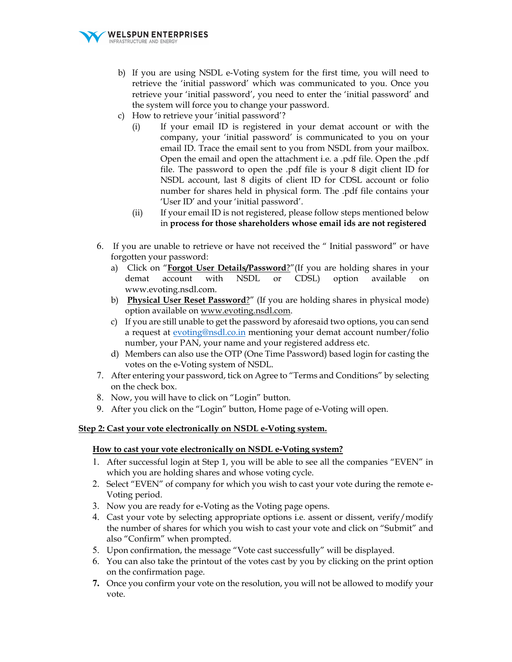

- b) If you are using NSDL e-Voting system for the first time, you will need to retrieve the 'initial password' which was communicated to you. Once you retrieve your 'initial password', you need to enter the 'initial password' and the system will force you to change your password.
- c) How to retrieve your 'initial password'?
	- (i) If your email ID is registered in your demat account or with the company, your 'initial password' is communicated to you on your email ID. Trace the email sent to you from NSDL from your mailbox. Open the email and open the attachment i.e. a .pdf file. Open the .pdf file. The password to open the .pdf file is your 8 digit client ID for NSDL account, last 8 digits of client ID for CDSL account or folio number for shares held in physical form. The .pdf file contains your 'User ID' and your 'initial password'.
	- (ii) If your email ID is not registered, please follow steps mentioned below in **process for those shareholders whose email ids are not registered**
- 6. If you are unable to retrieve or have not received the " Initial password" or have forgotten your password:
	- a) Click on "**Forgot User Details/Password**?"(If you are holding shares in your demat account with NSDL or CDSL) option available on www.evoting.nsdl.com.
	- b) **Physical User Reset Password**?" (If you are holding shares in physical mode) option available on www.evoting.nsdl.com.
	- c) If you are still unable to get the password by aforesaid two options, you can send a request at evoting@nsdl.co.in mentioning your demat account number/folio number, your PAN, your name and your registered address etc.
	- d) Members can also use the OTP (One Time Password) based login for casting the votes on the e-Voting system of NSDL.
- 7. After entering your password, tick on Agree to "Terms and Conditions" by selecting on the check box.
- 8. Now, you will have to click on "Login" button.
- 9. After you click on the "Login" button, Home page of e-Voting will open.

## **Step 2: Cast your vote electronically on NSDL e-Voting system.**

# **How to cast your vote electronically on NSDL e-Voting system?**

- 1. After successful login at Step 1, you will be able to see all the companies "EVEN" in which you are holding shares and whose voting cycle.
- 2. Select "EVEN" of company for which you wish to cast your vote during the remote e-Voting period.
- 3. Now you are ready for e-Voting as the Voting page opens.
- 4. Cast your vote by selecting appropriate options i.e. assent or dissent, verify/modify the number of shares for which you wish to cast your vote and click on "Submit" and also "Confirm" when prompted.
- 5. Upon confirmation, the message "Vote cast successfully" will be displayed.
- 6. You can also take the printout of the votes cast by you by clicking on the print option on the confirmation page.
- **7.** Once you confirm your vote on the resolution, you will not be allowed to modify your vote.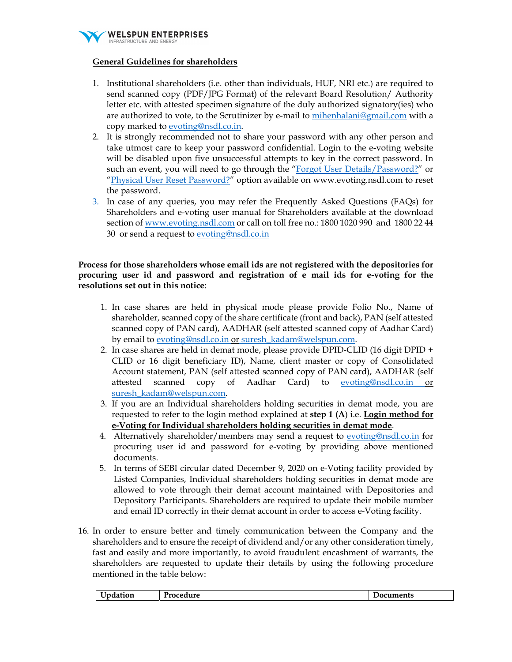

# **General Guidelines for shareholders**

- 1. Institutional shareholders (i.e. other than individuals, HUF, NRI etc.) are required to send scanned copy (PDF/JPG Format) of the relevant Board Resolution/ Authority letter etc. with attested specimen signature of the duly authorized signatory(ies) who are authorized to vote, to the Scrutinizer by e-mail to mihenhalani@gmail.com with a copy marked to evoting@nsdl.co.in.
- 2. It is strongly recommended not to share your password with any other person and take utmost care to keep your password confidential. Login to the e-voting website will be disabled upon five unsuccessful attempts to key in the correct password. In such an event, you will need to go through the "Forgot User Details/Password?" or "Physical User Reset Password?" option available on www.evoting.nsdl.com to reset the password.
- 3. In case of any queries, you may refer the Frequently Asked Questions (FAQs) for Shareholders and e-voting user manual for Shareholders available at the download section of www.evoting.nsdl.com or call on toll free no.: 1800 1020 990 and 1800 22 44 30 or send a request to evoting@nsdl.co.in

## **Process for those shareholders whose email ids are not registered with the depositories for procuring user id and password and registration of e mail ids for e-voting for the resolutions set out in this notice**:

- 1. In case shares are held in physical mode please provide Folio No., Name of shareholder, scanned copy of the share certificate (front and back), PAN (self attested scanned copy of PAN card), AADHAR (self attested scanned copy of Aadhar Card) by email to evoting@nsdl.co.in or suresh\_kadam@welspun.com.
- 2. In case shares are held in demat mode, please provide DPID-CLID (16 digit DPID + CLID or 16 digit beneficiary ID), Name, client master or copy of Consolidated Account statement, PAN (self attested scanned copy of PAN card), AADHAR (self attested scanned copy of Aadhar Card) to evoting@nsdl.co.in or suresh\_kadam@welspun.com.
- 3. If you are an Individual shareholders holding securities in demat mode, you are requested to refer to the login method explained at **step 1 (A**) i.e. **Login method for e-Voting for Individual shareholders holding securities in demat mode**.
- 4. Alternatively shareholder/members may send a request to evoting@nsdl.co.in for procuring user id and password for e-voting by providing above mentioned documents.
- 5. In terms of SEBI circular dated December 9, 2020 on e-Voting facility provided by Listed Companies, Individual shareholders holding securities in demat mode are allowed to vote through their demat account maintained with Depositories and Depository Participants. Shareholders are required to update their mobile number and email ID correctly in their demat account in order to access e-Voting facility.
- 16. In order to ensure better and timely communication between the Company and the shareholders and to ensure the receipt of dividend and/or any other consideration timely, fast and easily and more importantly, to avoid fraudulent encashment of warrants, the shareholders are requested to update their details by using the following procedure mentioned in the table below:

| <b>I</b> Ipdation | Procedure | Jocuments |
|-------------------|-----------|-----------|
|                   |           |           |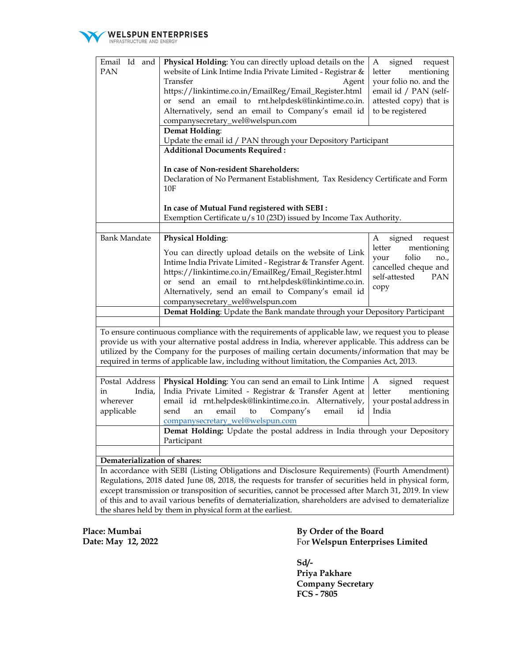

| Email Id and                                                                                          | Physical Holding: You can directly upload details on the                                              | signed<br>request<br>A      |  |  |  |  |
|-------------------------------------------------------------------------------------------------------|-------------------------------------------------------------------------------------------------------|-----------------------------|--|--|--|--|
| PAN                                                                                                   | website of Link Intime India Private Limited - Registrar &                                            | mentioning<br>letter        |  |  |  |  |
|                                                                                                       | Transfer<br>Agent                                                                                     | your folio no. and the      |  |  |  |  |
|                                                                                                       | https://linkintime.co.in/EmailReg/Email_Register.html                                                 | email id / PAN (self-       |  |  |  |  |
|                                                                                                       | or send an email to rnt.helpdesk@linkintime.co.in.                                                    | attested copy) that is      |  |  |  |  |
|                                                                                                       | Alternatively, send an email to Company's email id                                                    | to be registered            |  |  |  |  |
|                                                                                                       |                                                                                                       |                             |  |  |  |  |
|                                                                                                       | companysecretary_wel@welspun.com                                                                      |                             |  |  |  |  |
|                                                                                                       | Demat Holding:                                                                                        |                             |  |  |  |  |
|                                                                                                       | Update the email id / PAN through your Depository Participant                                         |                             |  |  |  |  |
|                                                                                                       | <b>Additional Documents Required:</b>                                                                 |                             |  |  |  |  |
|                                                                                                       |                                                                                                       |                             |  |  |  |  |
|                                                                                                       | In case of Non-resident Shareholders:                                                                 |                             |  |  |  |  |
|                                                                                                       | Declaration of No Permanent Establishment, Tax Residency Certificate and Form                         |                             |  |  |  |  |
|                                                                                                       | 10F                                                                                                   |                             |  |  |  |  |
|                                                                                                       |                                                                                                       |                             |  |  |  |  |
|                                                                                                       | In case of Mutual Fund registered with SEBI :                                                         |                             |  |  |  |  |
|                                                                                                       |                                                                                                       |                             |  |  |  |  |
|                                                                                                       | Exemption Certificate u/s 10 (23D) issued by Income Tax Authority.                                    |                             |  |  |  |  |
|                                                                                                       |                                                                                                       |                             |  |  |  |  |
| <b>Bank Mandate</b>                                                                                   | <b>Physical Holding:</b>                                                                              | signed<br>request<br>A      |  |  |  |  |
|                                                                                                       | You can directly upload details on the website of Link                                                | letter<br>mentioning        |  |  |  |  |
|                                                                                                       |                                                                                                       | folio<br>your<br>no.,       |  |  |  |  |
|                                                                                                       | Intime India Private Limited - Registrar & Transfer Agent.                                            | cancelled cheque and        |  |  |  |  |
|                                                                                                       | https://linkintime.co.in/EmailReg/Email_Register.html                                                 | self-attested<br><b>PAN</b> |  |  |  |  |
|                                                                                                       | or send an email to rnt.helpdesk@linkintime.co.in.                                                    | copy                        |  |  |  |  |
|                                                                                                       | Alternatively, send an email to Company's email id                                                    |                             |  |  |  |  |
|                                                                                                       | companysecretary_wel@welspun.com                                                                      |                             |  |  |  |  |
|                                                                                                       | Demat Holding: Update the Bank mandate through your Depository Participant                            |                             |  |  |  |  |
|                                                                                                       |                                                                                                       |                             |  |  |  |  |
|                                                                                                       | To ensure continuous compliance with the requirements of applicable law, we request you to please     |                             |  |  |  |  |
|                                                                                                       |                                                                                                       |                             |  |  |  |  |
|                                                                                                       | provide us with your alternative postal address in India, wherever applicable. This address can be    |                             |  |  |  |  |
|                                                                                                       | utilized by the Company for the purposes of mailing certain documents/information that may be         |                             |  |  |  |  |
|                                                                                                       | required in terms of applicable law, including without limitation, the Companies Act, 2013.           |                             |  |  |  |  |
|                                                                                                       |                                                                                                       |                             |  |  |  |  |
| Postal Address                                                                                        | Physical Holding: You can send an email to Link Intime                                                | signed<br>request<br>A      |  |  |  |  |
| India,<br>in                                                                                          | India Private Limited - Registrar & Transfer Agent at                                                 | mentioning<br>letter        |  |  |  |  |
| wherever                                                                                              | email id rnt.helpdesk@linkintime.co.in. Alternatively,                                                | your postal address in      |  |  |  |  |
| applicable                                                                                            | email<br>$\,$ to<br>Company's<br>email<br>send<br>an<br>id                                            | India                       |  |  |  |  |
|                                                                                                       |                                                                                                       |                             |  |  |  |  |
|                                                                                                       | companysecretary_wel@welspun.com                                                                      |                             |  |  |  |  |
|                                                                                                       | Demat Holding: Update the postal address in India through your Depository                             |                             |  |  |  |  |
|                                                                                                       | Participant                                                                                           |                             |  |  |  |  |
|                                                                                                       |                                                                                                       |                             |  |  |  |  |
| Dematerialization of shares:                                                                          |                                                                                                       |                             |  |  |  |  |
|                                                                                                       | In accordance with SEBI (Listing Obligations and Disclosure Requirements) (Fourth Amendment)          |                             |  |  |  |  |
|                                                                                                       |                                                                                                       |                             |  |  |  |  |
| Regulations, 2018 dated June 08, 2018, the requests for transfer of securities held in physical form, |                                                                                                       |                             |  |  |  |  |
| except transmission or transposition of securities, cannot be processed after March 31, 2019. In view |                                                                                                       |                             |  |  |  |  |
|                                                                                                       | of this and to avail various benefits of dematerialization, shareholders are advised to dematerialize |                             |  |  |  |  |
| the shares held by them in physical form at the earliest.                                             |                                                                                                       |                             |  |  |  |  |

**Place: Mumbai Date: May 12, 2022**  **By Order of the Board**  For **Welspun Enterprises Limited** 

**Sd/- Priya Pakhare Company Secretary FCS - 7805**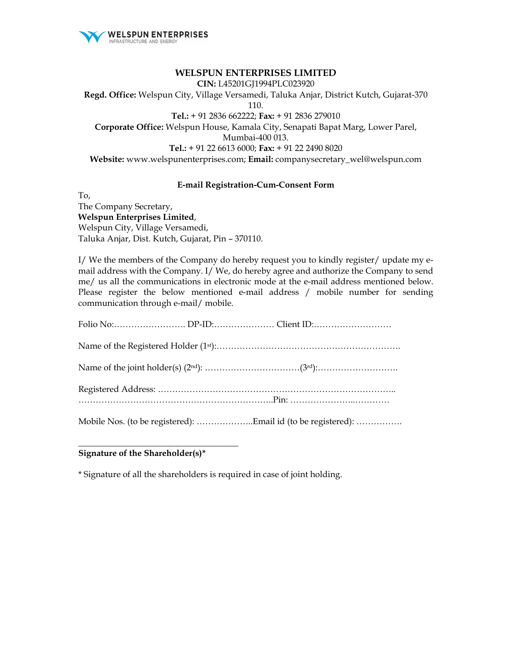

#### **WELSPUN ENTERPRISES LIMITED**

**CIN:** L45201GJ1994PLC023920

**Regd. Office:** Welspun City, Village Versamedi, Taluka Anjar, District Kutch, Gujarat-370 110. **Tel.:** + 91 2836 662222; **Fax:** + 91 2836 279010 **Corporate Office:** Welspun House, Kamala City, Senapati Bapat Marg, Lower Parel, Mumbai-400 013. **Tel.:** + 91 22 6613 6000; **Fax:** + 91 22 2490 8020 **Website:** www.welspunenterprises.com; **Email:** companysecretary\_wel@welspun.com

#### **E-mail Registration-Cum-Consent Form**

To, The Company Secretary, **Welspun Enterprises Limited**, Welspun City, Village Versamedi, Taluka Anjar, Dist. Kutch, Gujarat, Pin – 370110.

I/ We the members of the Company do hereby request you to kindly register/ update my email address with the Company. I/ We, do hereby agree and authorize the Company to send me/ us all the communications in electronic mode at the e-mail address mentioned below. Please register the below mentioned e-mail address / mobile number for sending communication through e-mail/ mobile.

|  | Mobile Nos. (to be registered): Email id (to be registered): |  |
|--|--------------------------------------------------------------|--|
|  |                                                              |  |
|  |                                                              |  |
|  |                                                              |  |
|  |                                                              |  |
|  |                                                              |  |

## **Signature of the Shareholder(s)\***

\_\_\_\_\_\_\_\_\_\_\_\_\_\_\_\_\_\_\_\_\_\_\_\_\_\_\_\_\_\_\_\_\_\_\_\_\_

\* Signature of all the shareholders is required in case of joint holding.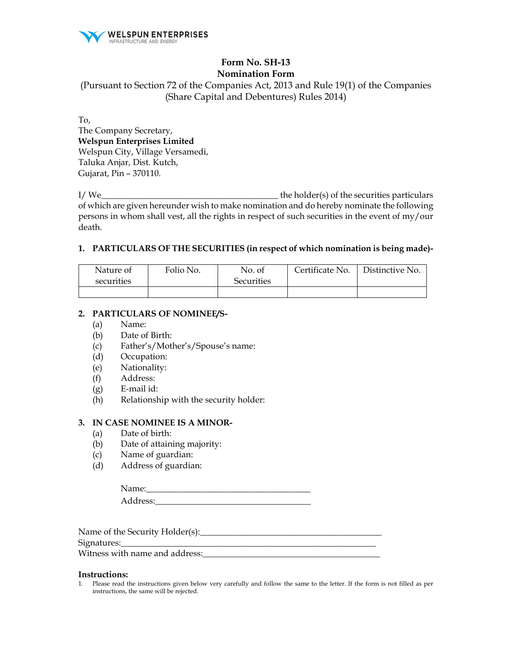

# **Form No. SH-13 Nomination Form**

(Pursuant to Section 72 of the Companies Act, 2013 and Rule 19(1) of the Companies (Share Capital and Debentures) Rules 2014)

To, The Company Secretary, **Welspun Enterprises Limited**  Welspun City, Village Versamedi, Taluka Anjar, Dist. Kutch, Gujarat, Pin – 370110.

I/ We\_\_\_\_\_\_\_\_\_\_\_\_\_\_\_\_\_\_\_\_\_\_\_\_\_\_\_\_\_\_\_\_\_\_\_\_\_\_\_\_\_ the holder(s) of the securities particulars of which are given hereunder wish to make nomination and do hereby nominate the following persons in whom shall vest, all the rights in respect of such securities in the event of my/our death.

## **1. PARTICULARS OF THE SECURITIES (in respect of which nomination is being made)-**

| Nature of  | Folio No. | No. of            | Certificate No. | Distinctive No. |
|------------|-----------|-------------------|-----------------|-----------------|
| securities |           | <b>Securities</b> |                 |                 |
|            |           |                   |                 |                 |

# **2. PARTICULARS OF NOMINEE/S-**

- (a) Name:
- (b) Date of Birth:
- (c) Father's/Mother's/Spouse's name:
- (d) Occupation:
- (e) Nationality:
- (f) Address:
- (g) E-mail id:
- (h) Relationship with the security holder:

#### **3. IN CASE NOMINEE IS A MINOR-**

- (a) Date of birth:
- (b) Date of attaining majority:
- (c) Name of guardian:
- (d) Address of guardian:

Name: Address:

| Name of the Security Holder(s): |
|---------------------------------|
| Signatures:                     |
| Witness with name and address:  |

#### **Instructions:**

1. Please read the instructions given below very carefully and follow the same to the letter. If the form is not filled as per instructions, the same will be rejected.